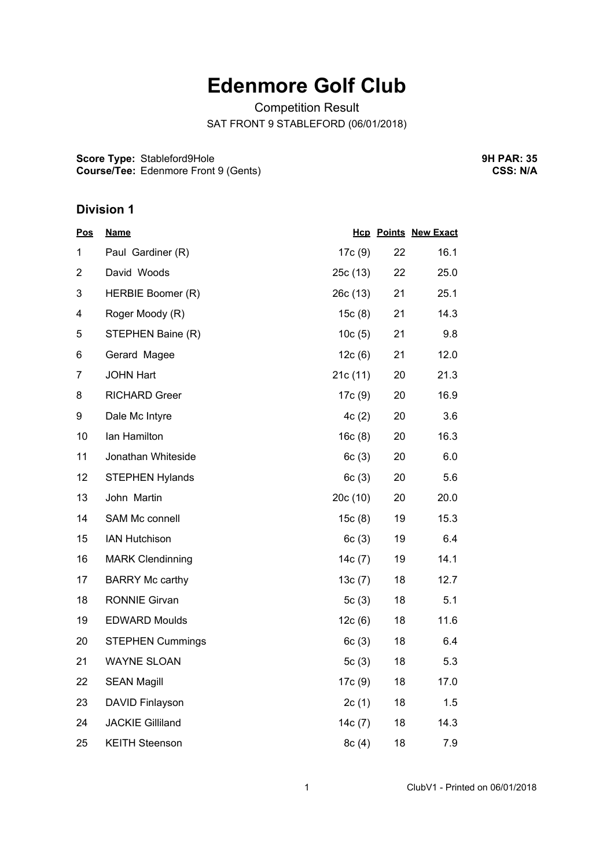## **Edenmore Golf Club**

Competition Result SAT FRONT 9 STABLEFORD (06/01/2018)

**Score Type:** Stableford9Hole **Course/Tee:** Edenmore Front 9 (Gents) **9H PAR: 35 CSS: N/A**

## **Division 1**

| <b>Pos</b>     | <b>Name</b>             |           |    | <b>Hcp Points New Exact</b> |
|----------------|-------------------------|-----------|----|-----------------------------|
| 1              | Paul Gardiner (R)       | 17c (9)   | 22 | 16.1                        |
| $\overline{2}$ | David Woods             | 25c (13)  | 22 | 25.0                        |
| 3              | HERBIE Boomer (R)       | 26c(13)   | 21 | 25.1                        |
| 4              | Roger Moody (R)         | 15c(8)    | 21 | 14.3                        |
| 5              | STEPHEN Baine (R)       | 10c(5)    | 21 | 9.8                         |
| 6              | Gerard Magee            | 12c(6)    | 21 | 12.0                        |
| 7              | <b>JOHN Hart</b>        | 21c(11)   | 20 | 21.3                        |
| 8              | <b>RICHARD Greer</b>    | 17c (9)   | 20 | 16.9                        |
| 9              | Dale Mc Intyre          | 4c(2)     | 20 | 3.6                         |
| 10             | lan Hamilton            | 16c(8)    | 20 | 16.3                        |
| 11             | Jonathan Whiteside      | 6c(3)     | 20 | 6.0                         |
| 12             | <b>STEPHEN Hylands</b>  | 6c(3)     | 20 | 5.6                         |
| 13             | John Martin             | 20c(10)   | 20 | 20.0                        |
| 14             | SAM Mc connell          | 15c(8)    | 19 | 15.3                        |
| 15             | <b>IAN Hutchison</b>    | 6c(3)     | 19 | 6.4                         |
| 16             | <b>MARK Clendinning</b> | 14c(7)    | 19 | 14.1                        |
| 17             | <b>BARRY Mc carthy</b>  | 13c(7)    | 18 | 12.7                        |
| 18             | <b>RONNIE Girvan</b>    | 5 $c(3)$  | 18 | 5.1                         |
| 19             | <b>EDWARD Moulds</b>    | 12c(6)    | 18 | 11.6                        |
| 20             | <b>STEPHEN Cummings</b> | 6c(3)     | 18 | 6.4                         |
| 21             | <b>WAYNE SLOAN</b>      | 5c(3)     | 18 | 5.3                         |
| 22             | <b>SEAN Magill</b>      | 17c(9)    | 18 | 17.0                        |
| 23             | DAVID Finlayson         | 2c(1)     | 18 | 1.5                         |
| 24             | <b>JACKIE Gilliland</b> | 14 $c(7)$ | 18 | 14.3                        |
| 25             | <b>KEITH Steenson</b>   | 8c(4)     | 18 | 7.9                         |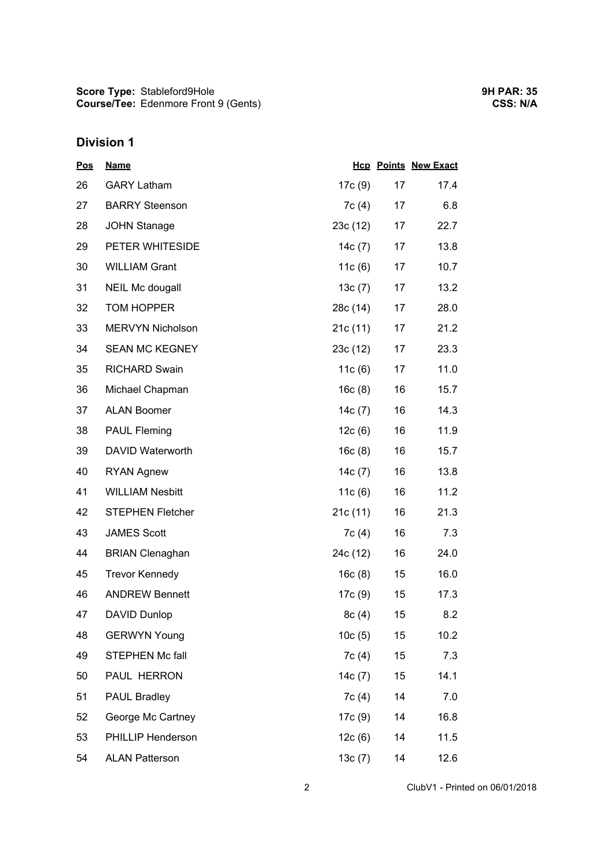## **Division 1**

| <b>Pos</b> | <b>Name</b>             |           |    | <b>Hcp Points New Exact</b> |
|------------|-------------------------|-----------|----|-----------------------------|
| 26         | <b>GARY Latham</b>      | 17c (9)   | 17 | 17.4                        |
| 27         | <b>BARRY Steenson</b>   | 7c(4)     | 17 | 6.8                         |
| 28         | <b>JOHN Stanage</b>     | 23c(12)   | 17 | 22.7                        |
| 29         | PETER WHITESIDE         | 14 $c(7)$ | 17 | 13.8                        |
| 30         | <b>WILLIAM Grant</b>    | 11 $c(6)$ | 17 | 10.7                        |
| 31         | NEIL Mc dougall         | 13c(7)    | 17 | 13.2                        |
| 32         | <b>TOM HOPPER</b>       | 28c (14)  | 17 | 28.0                        |
| 33         | <b>MERVYN Nicholson</b> | 21c(11)   | 17 | 21.2                        |
| 34         | <b>SEAN MC KEGNEY</b>   | 23c(12)   | 17 | 23.3                        |
| 35         | <b>RICHARD Swain</b>    | 11c(6)    | 17 | 11.0                        |
| 36         | Michael Chapman         | 16c(8)    | 16 | 15.7                        |
| 37         | <b>ALAN Boomer</b>      | 14c(7)    | 16 | 14.3                        |
| 38         | <b>PAUL Fleming</b>     | 12c(6)    | 16 | 11.9                        |
| 39         | <b>DAVID Waterworth</b> | 16c(8)    | 16 | 15.7                        |
| 40         | <b>RYAN Agnew</b>       | 14 $c(7)$ | 16 | 13.8                        |
| 41         | <b>WILLIAM Nesbitt</b>  | 11 $c(6)$ | 16 | 11.2                        |
| 42         | <b>STEPHEN Fletcher</b> | 21c(11)   | 16 | 21.3                        |
| 43         | <b>JAMES Scott</b>      | 7c(4)     | 16 | 7.3                         |
| 44         | <b>BRIAN Clenaghan</b>  | 24c (12)  | 16 | 24.0                        |
| 45         | <b>Trevor Kennedy</b>   | 16c(8)    | 15 | 16.0                        |
| 46         | <b>ANDREW Bennett</b>   | 17c (9)   | 15 | 17.3                        |
| 47         | <b>DAVID Dunlop</b>     | 8c(4)     | 15 | 8.2                         |
| 48         | <b>GERWYN Young</b>     | 10c(5)    | 15 | 10.2                        |
| 49         | <b>STEPHEN Mc fall</b>  | 7c(4)     | 15 | 7.3                         |
| 50         | PAUL HERRON             | 14c (7)   | 15 | 14.1                        |
| 51         | <b>PAUL Bradley</b>     | 7c(4)     | 14 | 7.0                         |
| 52         | George Mc Cartney       | 17c(9)    | 14 | 16.8                        |
| 53         | PHILLIP Henderson       | 12c(6)    | 14 | 11.5                        |
| 54         | <b>ALAN Patterson</b>   | 13c(7)    | 14 | 12.6                        |